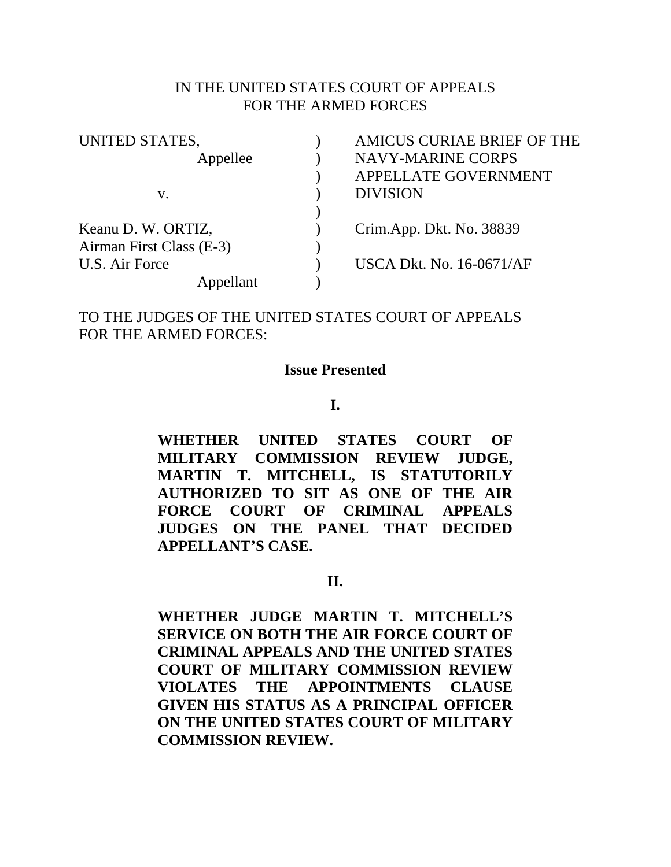### IN THE UNITED STATES COURT OF APPEALS FOR THE ARMED FORCES

| UNITED STATES,           | <b>AMICUS CURIAE BRIEF OF THE</b> |
|--------------------------|-----------------------------------|
| Appellee                 | <b>NAVY-MARINE CORPS</b>          |
|                          | APPELLATE GOVERNMENT              |
| V.                       | <b>DIVISION</b>                   |
|                          |                                   |
| Keanu D. W. ORTIZ,       | Crim.App. Dkt. No. 38839          |
| Airman First Class (E-3) |                                   |
| U.S. Air Force           | <b>USCA Dkt. No. 16-0671/AF</b>   |
| Appellant                |                                   |

TO THE JUDGES OF THE UNITED STATES COURT OF APPEALS FOR THE ARMED FORCES:

#### **Issue Presented**

**I.** 

**WHETHER UNITED STATES COURT OF MILITARY COMMISSION REVIEW JUDGE, MARTIN T. MITCHELL, IS STATUTORILY AUTHORIZED TO SIT AS ONE OF THE AIR FORCE COURT OF CRIMINAL APPEALS JUDGES ON THE PANEL THAT DECIDED APPELLANT'S CASE.** 

**II.** 

**WHETHER JUDGE MARTIN T. MITCHELL'S SERVICE ON BOTH THE AIR FORCE COURT OF CRIMINAL APPEALS AND THE UNITED STATES COURT OF MILITARY COMMISSION REVIEW VIOLATES THE APPOINTMENTS CLAUSE GIVEN HIS STATUS AS A PRINCIPAL OFFICER ON THE UNITED STATES COURT OF MILITARY COMMISSION REVIEW.**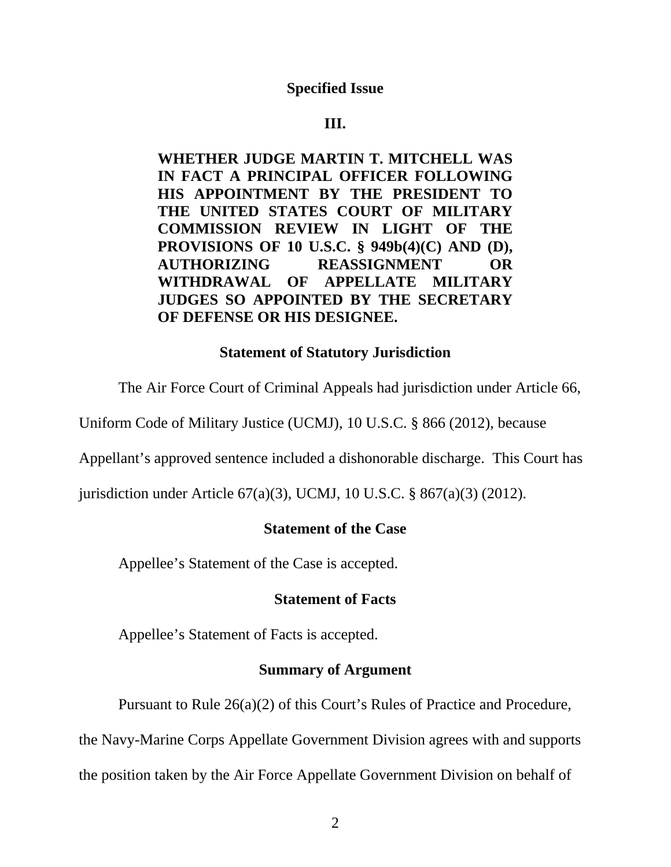## **Specified Issue**

### **III.**

**WHETHER JUDGE MARTIN T. MITCHELL WAS IN FACT A PRINCIPAL OFFICER FOLLOWING HIS APPOINTMENT BY THE PRESIDENT TO THE UNITED STATES COURT OF MILITARY COMMISSION REVIEW IN LIGHT OF THE PROVISIONS OF 10 U.S.C. § 949b(4)(C) AND (D), AUTHORIZING REASSIGNMENT OR WITHDRAWAL OF APPELLATE MILITARY JUDGES SO APPOINTED BY THE SECRETARY OF DEFENSE OR HIS DESIGNEE.** 

### **Statement of Statutory Jurisdiction**

The Air Force Court of Criminal Appeals had jurisdiction under Article 66,

Uniform Code of Military Justice (UCMJ), 10 U.S.C. § 866 (2012), because

Appellant's approved sentence included a dishonorable discharge. This Court has

jurisdiction under Article 67(a)(3), UCMJ, 10 U.S.C. § 867(a)(3) (2012).

# **Statement of the Case**

Appellee's Statement of the Case is accepted.

### **Statement of Facts**

Appellee's Statement of Facts is accepted.

# **Summary of Argument**

Pursuant to Rule 26(a)(2) of this Court's Rules of Practice and Procedure,

the Navy-Marine Corps Appellate Government Division agrees with and supports

the position taken by the Air Force Appellate Government Division on behalf of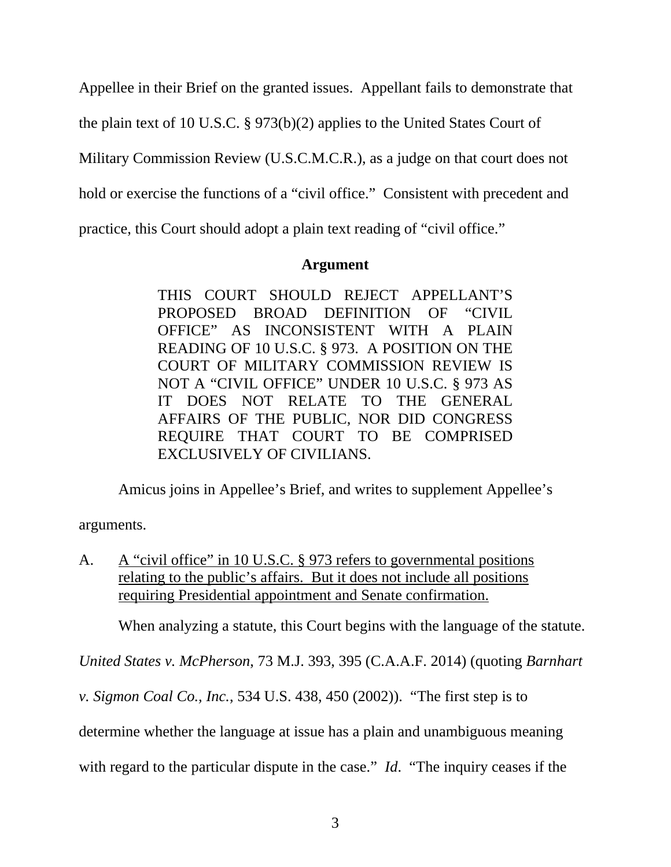Appellee in their Brief on the granted issues. Appellant fails to demonstrate that

the plain text of 10 U.S.C. § 973(b)(2) applies to the United States Court of

Military Commission Review (U.S.C.M.C.R.), as a judge on that court does not

hold or exercise the functions of a "civil office." Consistent with precedent and

practice, this Court should adopt a plain text reading of "civil office."

# **Argument**

THIS COURT SHOULD REJECT APPELLANT'S PROPOSED BROAD DEFINITION OF "CIVIL OFFICE" AS INCONSISTENT WITH A PLAIN READING OF 10 U.S.C. § 973. A POSITION ON THE COURT OF MILITARY COMMISSION REVIEW IS NOT A "CIVIL OFFICE" UNDER 10 U.S.C. § 973 AS IT DOES NOT RELATE TO THE GENERAL AFFAIRS OF THE PUBLIC, NOR DID CONGRESS REQUIRE THAT COURT TO BE COMPRISED EXCLUSIVELY OF CIVILIANS.

Amicus joins in Appellee's Brief, and writes to supplement Appellee's

arguments.

A. A "civil office" in 10 U.S.C. § 973 refers to governmental positions relating to the public's affairs. But it does not include all positions requiring Presidential appointment and Senate confirmation.

When analyzing a statute, this Court begins with the language of the statute.

*United States v. McPherson*, 73 M.J. 393, 395 (C.A.A.F. 2014) (quoting *Barnhart* 

*v. Sigmon Coal Co., Inc.*, 534 U.S. 438, 450 (2002)). "The first step is to

determine whether the language at issue has a plain and unambiguous meaning

with regard to the particular dispute in the case." *Id*. "The inquiry ceases if the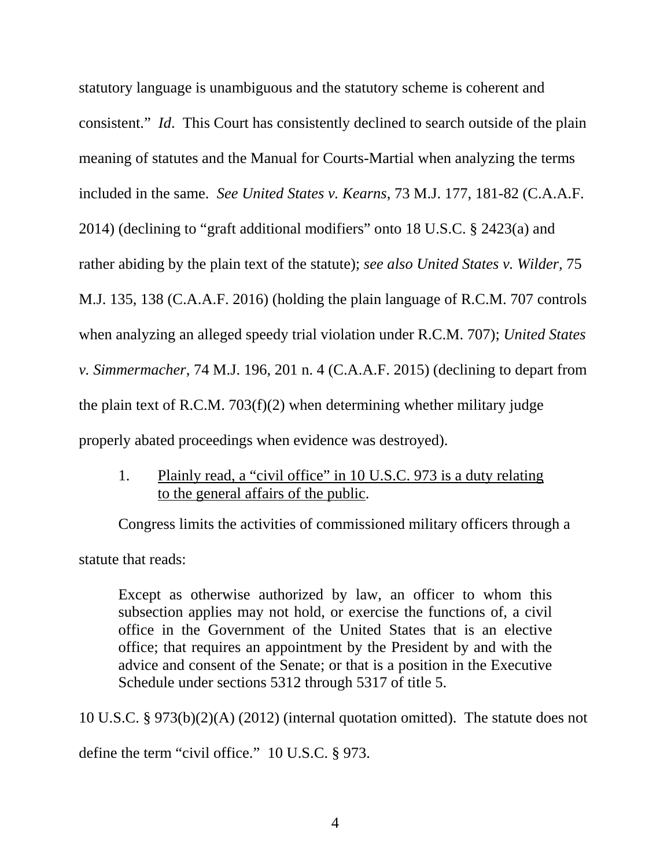statutory language is unambiguous and the statutory scheme is coherent and consistent." *Id*. This Court has consistently declined to search outside of the plain meaning of statutes and the Manual for Courts-Martial when analyzing the terms included in the same. *See United States v. Kearns*, 73 M.J. 177, 181-82 (C.A.A.F. 2014) (declining to "graft additional modifiers" onto 18 U.S.C. § 2423(a) and rather abiding by the plain text of the statute); *see also United States v. Wilder,* 75 M.J. 135, 138 (C.A.A.F. 2016) (holding the plain language of R.C.M. 707 controls when analyzing an alleged speedy trial violation under R.C.M. 707); *United States v. Simmermacher*, 74 M.J. 196, 201 n. 4 (C.A.A.F. 2015) (declining to depart from the plain text of R.C.M. 703(f)(2) when determining whether military judge properly abated proceedings when evidence was destroyed).

1. Plainly read, a "civil office" in 10 U.S.C. 973 is a duty relating to the general affairs of the public.

Congress limits the activities of commissioned military officers through a statute that reads:

Except as otherwise authorized by law, an officer to whom this subsection applies may not hold, or exercise the functions of, a civil office in the Government of the United States that is an elective office; that requires an appointment by the President by and with the advice and consent of the Senate; or that is a position in the Executive Schedule under sections 5312 through 5317 of title 5.

10 U.S.C. § 973(b)(2)(A) (2012) (internal quotation omitted). The statute does not define the term "civil office." 10 U.S.C. § 973.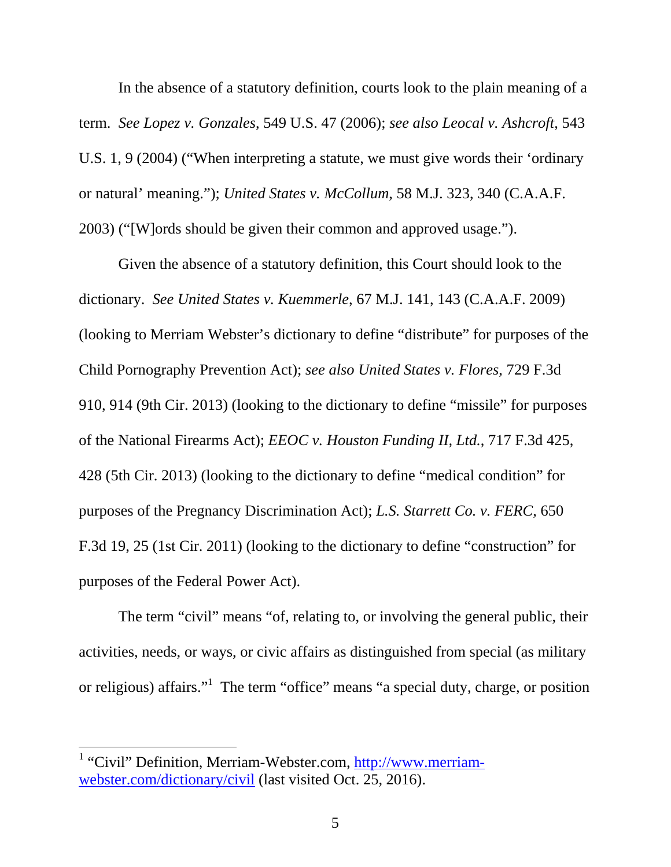In the absence of a statutory definition, courts look to the plain meaning of a term. *See Lopez v. Gonzales*, 549 U.S. 47 (2006); *see also Leocal v. Ashcroft*, 543 U.S. 1, 9 (2004) ("When interpreting a statute, we must give words their 'ordinary or natural' meaning."); *United States v. McCollum*, 58 M.J. 323, 340 (C.A.A.F. 2003) ("[W]ords should be given their common and approved usage.").

Given the absence of a statutory definition, this Court should look to the dictionary. *See United States v. Kuemmerle*, 67 M.J. 141, 143 (C.A.A.F. 2009) (looking to Merriam Webster's dictionary to define "distribute" for purposes of the Child Pornography Prevention Act); *see also United States v. Flores*, 729 F.3d 910, 914 (9th Cir. 2013) (looking to the dictionary to define "missile" for purposes of the National Firearms Act); *EEOC v. Houston Funding II, Ltd.*, 717 F.3d 425, 428 (5th Cir. 2013) (looking to the dictionary to define "medical condition" for purposes of the Pregnancy Discrimination Act); *L.S. Starrett Co. v. FERC*, 650 F.3d 19, 25 (1st Cir. 2011) (looking to the dictionary to define "construction" for purposes of the Federal Power Act).

The term "civil" means "of, relating to, or involving the general public, their activities, needs, or ways, or civic affairs as distinguished from special (as military or religious) affairs."<sup>1</sup> The term "office" means "a special duty, charge, or position

<sup>&</sup>lt;sup>1</sup> "Civil" Definition, Merriam-Webster.com, http://www.merriamwebster.com/dictionary/civil (last visited Oct. 25, 2016).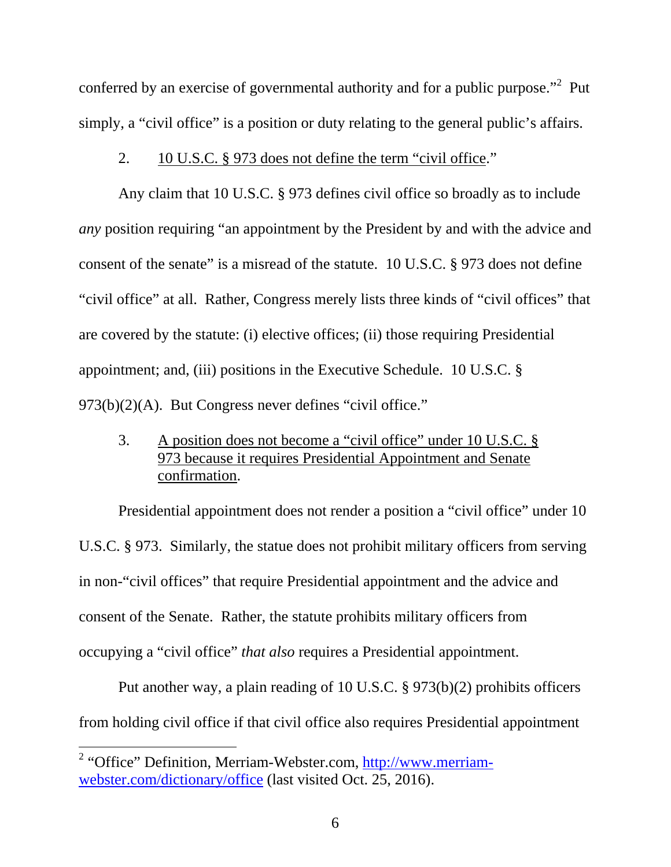conferred by an exercise of governmental authority and for a public purpose."<sup>2</sup> Put simply, a "civil office" is a position or duty relating to the general public's affairs.

#### 2. 10 U.S.C. § 973 does not define the term "civil office."

Any claim that 10 U.S.C. § 973 defines civil office so broadly as to include *any* position requiring "an appointment by the President by and with the advice and consent of the senate" is a misread of the statute. 10 U.S.C. § 973 does not define "civil office" at all. Rather, Congress merely lists three kinds of "civil offices" that are covered by the statute: (i) elective offices; (ii) those requiring Presidential appointment; and, (iii) positions in the Executive Schedule. 10 U.S.C. § 973(b)(2)(A). But Congress never defines "civil office."

3. A position does not become a "civil office" under 10 U.S.C. § 973 because it requires Presidential Appointment and Senate confirmation.

Presidential appointment does not render a position a "civil office" under 10 U.S.C. § 973. Similarly, the statue does not prohibit military officers from serving in non-"civil offices" that require Presidential appointment and the advice and consent of the Senate. Rather, the statute prohibits military officers from occupying a "civil office" *that also* requires a Presidential appointment.

Put another way, a plain reading of 10 U.S.C. § 973(b)(2) prohibits officers from holding civil office if that civil office also requires Presidential appointment

<sup>&</sup>lt;sup>2</sup> "Office" Definition, Merriam-Webster.com, http://www.merriamwebster.com/dictionary/office (last visited Oct. 25, 2016).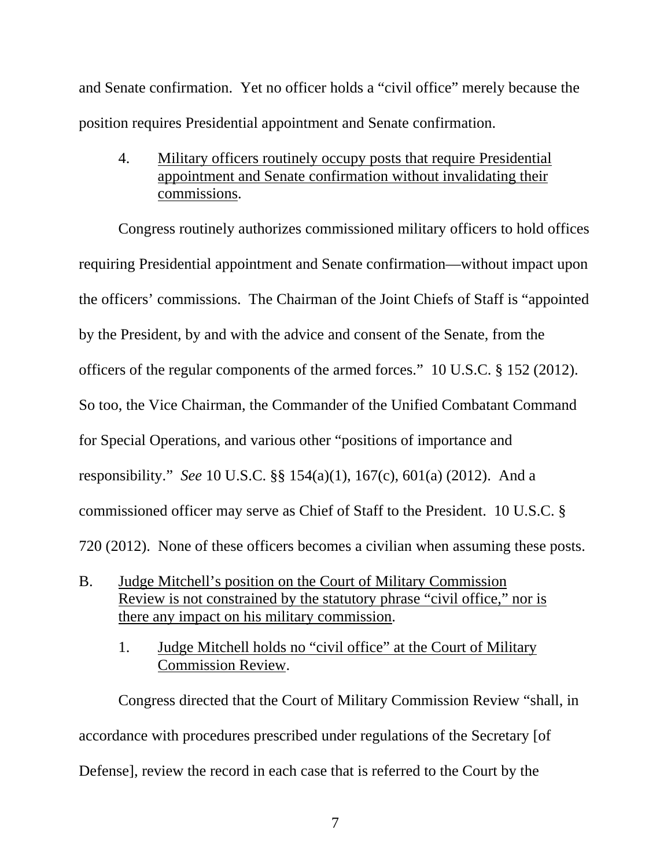and Senate confirmation. Yet no officer holds a "civil office" merely because the position requires Presidential appointment and Senate confirmation.

4. Military officers routinely occupy posts that require Presidential appointment and Senate confirmation without invalidating their commissions.

Congress routinely authorizes commissioned military officers to hold offices requiring Presidential appointment and Senate confirmation—without impact upon the officers' commissions. The Chairman of the Joint Chiefs of Staff is "appointed by the President, by and with the advice and consent of the Senate, from the officers of the regular components of the armed forces." 10 U.S.C. § 152 (2012). So too, the Vice Chairman, the Commander of the Unified Combatant Command for Special Operations, and various other "positions of importance and responsibility." *See* 10 U.S.C. §§ 154(a)(1), 167(c), 601(a) (2012). And a commissioned officer may serve as Chief of Staff to the President. 10 U.S.C. § 720 (2012). None of these officers becomes a civilian when assuming these posts.

- B. Judge Mitchell's position on the Court of Military Commission Review is not constrained by the statutory phrase "civil office," nor is there any impact on his military commission.
	- 1. Judge Mitchell holds no "civil office" at the Court of Military Commission Review.

Congress directed that the Court of Military Commission Review "shall, in accordance with procedures prescribed under regulations of the Secretary [of Defense], review the record in each case that is referred to the Court by the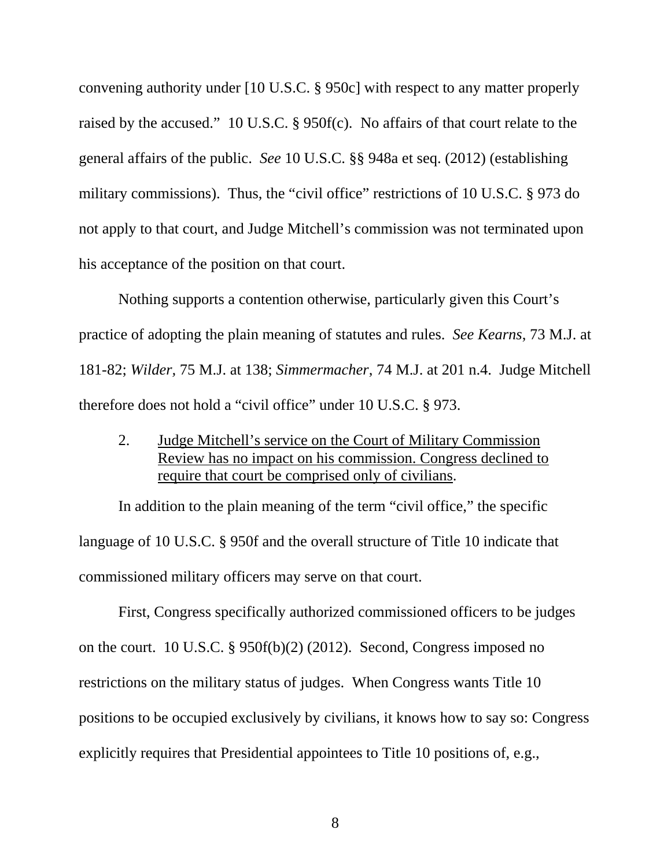convening authority under [10 U.S.C. § 950c] with respect to any matter properly raised by the accused." 10 U.S.C. § 950f(c). No affairs of that court relate to the general affairs of the public. *See* 10 U.S.C. §§ 948a et seq. (2012) (establishing military commissions). Thus, the "civil office" restrictions of 10 U.S.C. § 973 do not apply to that court, and Judge Mitchell's commission was not terminated upon his acceptance of the position on that court.

Nothing supports a contention otherwise, particularly given this Court's practice of adopting the plain meaning of statutes and rules. *See Kearns*, 73 M.J. at 181-82; *Wilder,* 75 M.J. at 138; *Simmermacher*, 74 M.J. at 201 n.4. Judge Mitchell therefore does not hold a "civil office" under 10 U.S.C. § 973.

2. Judge Mitchell's service on the Court of Military Commission Review has no impact on his commission. Congress declined to require that court be comprised only of civilians.

In addition to the plain meaning of the term "civil office," the specific language of 10 U.S.C. § 950f and the overall structure of Title 10 indicate that commissioned military officers may serve on that court.

First, Congress specifically authorized commissioned officers to be judges on the court. 10 U.S.C. § 950f(b)(2) (2012). Second, Congress imposed no restrictions on the military status of judges. When Congress wants Title 10 positions to be occupied exclusively by civilians, it knows how to say so: Congress explicitly requires that Presidential appointees to Title 10 positions of, e.g.,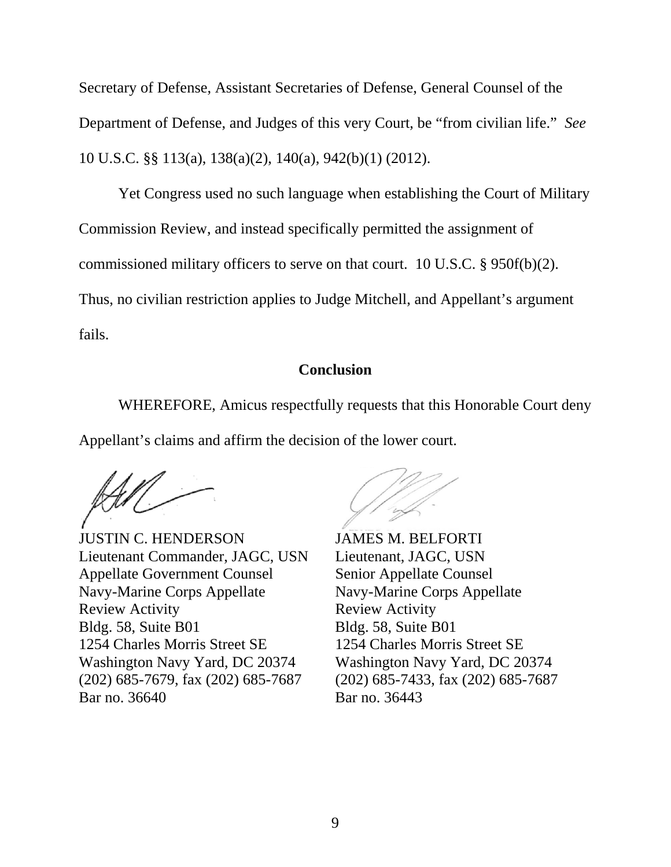Secretary of Defense, Assistant Secretaries of Defense, General Counsel of the Department of Defense, and Judges of this very Court, be "from civilian life." *See* 10 U.S.C. §§ 113(a), 138(a)(2), 140(a), 942(b)(1) (2012).

Yet Congress used no such language when establishing the Court of Military Commission Review, and instead specifically permitted the assignment of commissioned military officers to serve on that court. 10 U.S.C. § 950f(b)(2). Thus, no civilian restriction applies to Judge Mitchell, and Appellant's argument fails.

# **Conclusion**

WHEREFORE, Amicus respectfully requests that this Honorable Court deny Appellant's claims and affirm the decision of the lower court.

 JUSTIN C. HENDERSON JAMES M. BELFORTI Lieutenant Commander, JAGC, USN Lieutenant, JAGC, USN Appellate Government Counsel<br>
Senior Appellate Counsel Navy-Marine Corps Appellate Navy-Marine Corps Appellate Review Activity **Review Activity** Bldg. 58, Suite B01 Bldg. 58, Suite B01 1254 Charles Morris Street SE 1254 Charles Morris Street SE Washington Navy Yard, DC 20374 Washington Navy Yard, DC 20374 (202) 685-7679, fax (202) 685-7687 (202) 685-7433, fax (202) 685-7687 Bar no. 36640 **Bar** no. 36443